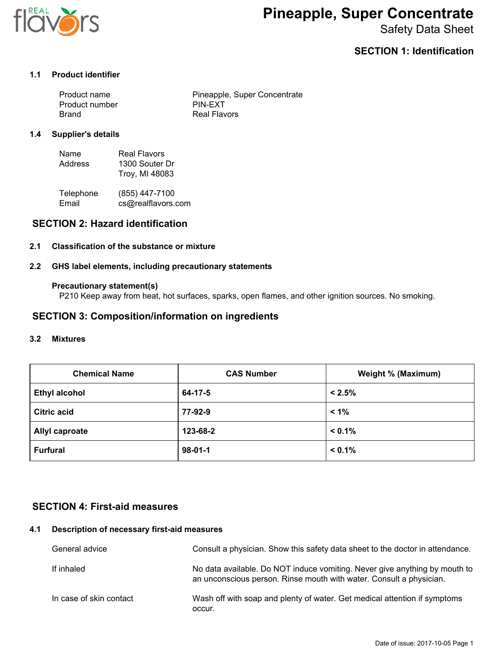

# **Pineapple, Super Concentrate**

Safety Data Sheet

## **SECTION 1: Identification**

## **1.1 Product identifier**

| Product name   | Pineapple, Super Concentrate |
|----------------|------------------------------|
| Product number | PIN-EXT                      |
| Brand          | Real Flavors                 |

### **1.4 Supplier's details**

| Name    | Real Flavors   |
|---------|----------------|
| Address | 1300 Souter Dr |
|         | Troy, MI 48083 |

| Telephone | (855) 447-7100     |
|-----------|--------------------|
| Email     | cs@realflavors.com |

## **SECTION 2: Hazard identification**

#### **2.1 Classification of the substance or mixture**

#### **2.2 GHS label elements, including precautionary statements**

#### **Precautionary statement(s)**

P210 Keep away from heat, hot surfaces, sparks, open flames, and other ignition sources. No smoking.

## **SECTION 3: Composition/information on ingredients**

#### **3.2 Mixtures**

| <b>Chemical Name</b>  | <b>CAS Number</b> | Weight % (Maximum) |
|-----------------------|-------------------|--------------------|
| <b>Ethyl alcohol</b>  | 64-17-5           | $< 2.5\%$          |
| <b>Citric acid</b>    | 77-92-9           | $< 1\%$            |
| <b>Allyl caproate</b> | 123-68-2          | $< 0.1\%$          |
| <b>Furfural</b>       | $98 - 01 - 1$     | $< 0.1\%$          |

## **SECTION 4: First-aid measures**

### **4.1 Description of necessary first-aid measures**

| General advice          | Consult a physician. Show this safety data sheet to the doctor in attendance.                                                                     |
|-------------------------|---------------------------------------------------------------------------------------------------------------------------------------------------|
| If inhaled              | No data available. Do NOT induce vomiting. Never give anything by mouth to<br>an unconscious person. Rinse mouth with water. Consult a physician. |
| In case of skin contact | Wash off with soap and plenty of water. Get medical attention if symptoms<br>occur.                                                               |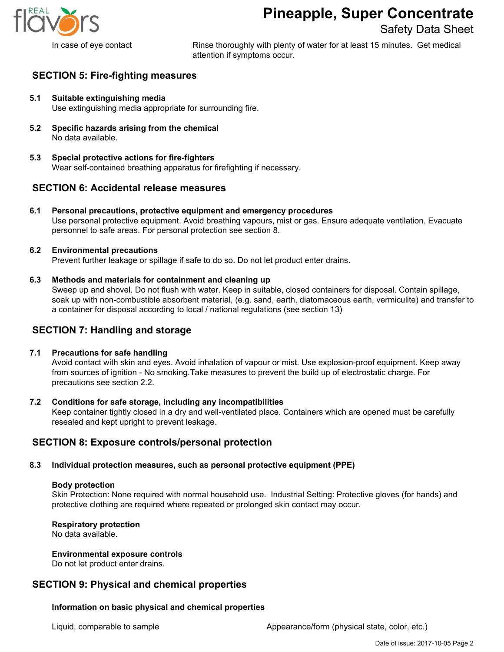

## **Pineapple, Super Concentrate**

Safety Data Sheet

In case of eye contact **Rinse thoroughly with plenty of water for at least 15 minutes.** Get medical attention if symptoms occur.

## **SECTION 5: Fire-fighting measures**

- **5.1 Suitable extinguishing media** Use extinguishing media appropriate for surrounding fire.
- **5.2 Specific hazards arising from the chemical** No data available.
- **5.3 Special protective actions for fire-fighters** Wear self-contained breathing apparatus for firefighting if necessary.

## **SECTION 6: Accidental release measures**

**6.1 Personal precautions, protective equipment and emergency procedures** Use personal protective equipment. Avoid breathing vapours, mist or gas. Ensure adequate ventilation. Evacuate personnel to safe areas. For personal protection see section 8.

#### **6.2 Environmental precautions**

Prevent further leakage or spillage if safe to do so. Do not let product enter drains.

#### **6.3 Methods and materials for containment and cleaning up**

Sweep up and shovel. Do not flush with water. Keep in suitable, closed containers for disposal. Contain spillage, soak up with non-combustible absorbent material, (e.g. sand, earth, diatomaceous earth, vermiculite) and transfer to a container for disposal according to local / national regulations (see section 13)

## **SECTION 7: Handling and storage**

#### **7.1 Precautions for safe handling**

Avoid contact with skin and eyes. Avoid inhalation of vapour or mist. Use explosion-proof equipment. Keep away from sources of ignition - No smoking.Take measures to prevent the build up of electrostatic charge. For precautions see section 2.2.

## **7.2 Conditions for safe storage, including any incompatibilities**

Keep container tightly closed in a dry and well-ventilated place. Containers which are opened must be carefully resealed and kept upright to prevent leakage.

## **SECTION 8: Exposure controls/personal protection**

## **8.3 Individual protection measures, such as personal protective equipment (PPE)**

#### **Body protection**

Skin Protection: None required with normal household use. Industrial Setting: Protective gloves (for hands) and protective clothing are required where repeated or prolonged skin contact may occur.

#### **Respiratory protection**

No data available.

#### **Environmental exposure controls**

Do not let product enter drains.

## **SECTION 9: Physical and chemical properties**

## **Information on basic physical and chemical properties**

Liquid, comparable to sample **Appearance/form (physical state, color, etc.)** Appearance/form (physical state, color, etc.)